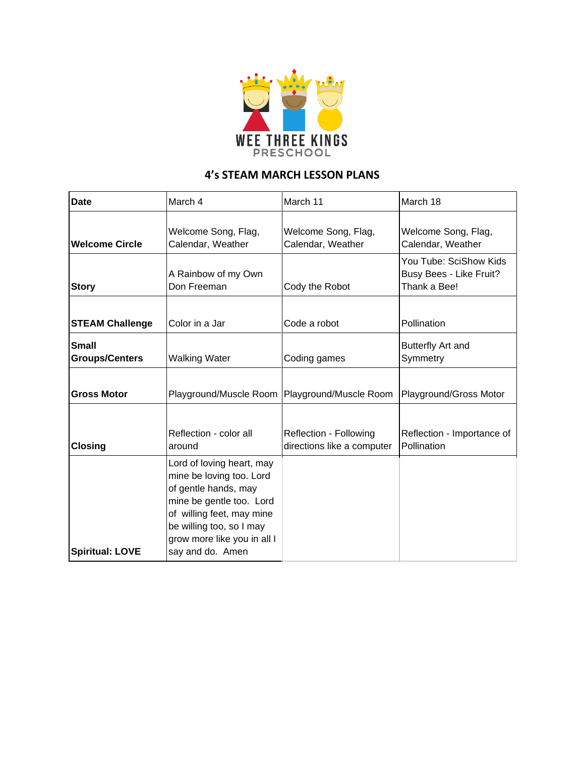

## **4's STEAM MARCH LESSON PLANS**

| <b>Date</b>                           | March 4                                                                                                                                                                                                               | March 11                                             | March 18                                                          |
|---------------------------------------|-----------------------------------------------------------------------------------------------------------------------------------------------------------------------------------------------------------------------|------------------------------------------------------|-------------------------------------------------------------------|
| <b>Welcome Circle</b>                 | Welcome Song, Flag,<br>Calendar, Weather                                                                                                                                                                              | Welcome Song, Flag,<br>Calendar, Weather             | Welcome Song, Flag,<br>Calendar, Weather                          |
| <b>Story</b>                          | A Rainbow of my Own<br>Don Freeman                                                                                                                                                                                    | Cody the Robot                                       | You Tube: SciShow Kids<br>Busy Bees - Like Fruit?<br>Thank a Bee! |
| <b>STEAM Challenge</b>                | Color in a Jar                                                                                                                                                                                                        | Code a robot                                         | Pollination                                                       |
| <b>Small</b><br><b>Groups/Centers</b> | <b>Walking Water</b>                                                                                                                                                                                                  | Coding games                                         | Butterfly Art and<br>Symmetry                                     |
| <b>Gross Motor</b>                    |                                                                                                                                                                                                                       | Playground/Muscle Room   Playground/Muscle Room      | Playground/Gross Motor                                            |
| <b>Closing</b>                        | Reflection - color all<br>around                                                                                                                                                                                      | Reflection - Following<br>directions like a computer | Reflection - Importance of<br>Pollination                         |
| <b>Spiritual: LOVE</b>                | Lord of loving heart, may<br>mine be loving too. Lord<br>of gentle hands, may<br>mine be gentle too. Lord<br>of willing feet, may mine<br>be willing too, so I may<br>grow more like you in all I<br>say and do. Amen |                                                      |                                                                   |